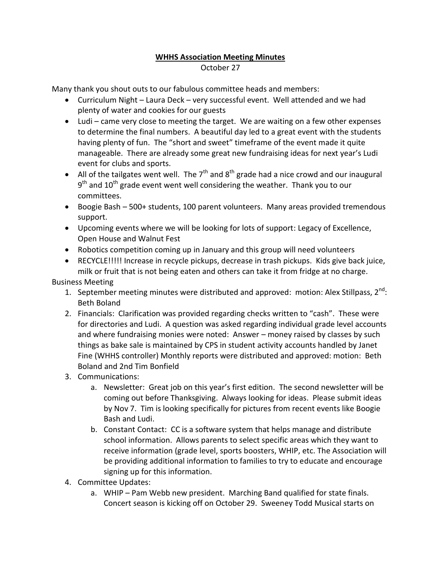## **WHHS Association Meeting Minutes** October 27

Many thank you shout outs to our fabulous committee heads and members:

- Curriculum Night Laura Deck very successful event. Well attended and we had plenty of water and cookies for our guests
- Ludi came very close to meeting the target. We are waiting on a few other expenses to determine the final numbers. A beautiful day led to a great event with the students having plenty of fun. The "short and sweet" timeframe of the event made it quite manageable. There are already some great new fundraising ideas for next year's Ludi event for clubs and sports.
- All of the tailgates went well. The  $7<sup>th</sup>$  and  $8<sup>th</sup>$  grade had a nice crowd and our inaugural  $9<sup>th</sup>$  and  $10<sup>th</sup>$  grade event went well considering the weather. Thank you to our committees.
- Boogie Bash 500+ students, 100 parent volunteers. Many areas provided tremendous support.
- Upcoming events where we will be looking for lots of support: Legacy of Excellence, Open House and Walnut Fest
- Robotics competition coming up in January and this group will need volunteers
- RECYCLE!!!!! Increase in recycle pickups, decrease in trash pickups. Kids give back juice, milk or fruit that is not being eaten and others can take it from fridge at no charge.

Business Meeting

- 1. September meeting minutes were distributed and approved: motion: Alex Stillpass,  $2^{nd}$ : Beth Boland
- 2. Financials: Clarification was provided regarding checks written to "cash". These were for directories and Ludi. A question was asked regarding individual grade level accounts and where fundraising monies were noted: Answer – money raised by classes by such things as bake sale is maintained by CPS in student activity accounts handled by Janet Fine (WHHS controller) Monthly reports were distributed and approved: motion: Beth Boland and 2nd Tim Bonfield
- 3. Communications:
	- a. Newsletter: Great job on this year's first edition. The second newsletter will be coming out before Thanksgiving. Always looking for ideas. Please submit ideas by Nov 7. Tim is looking specifically for pictures from recent events like Boogie Bash and Ludi.
	- b. Constant Contact: CC is a software system that helps manage and distribute school information. Allows parents to select specific areas which they want to receive information (grade level, sports boosters, WHIP, etc. The Association will be providing additional information to families to try to educate and encourage signing up for this information.
- 4. Committee Updates:
	- a. WHIP Pam Webb new president. Marching Band qualified for state finals. Concert season is kicking off on October 29. Sweeney Todd Musical starts on